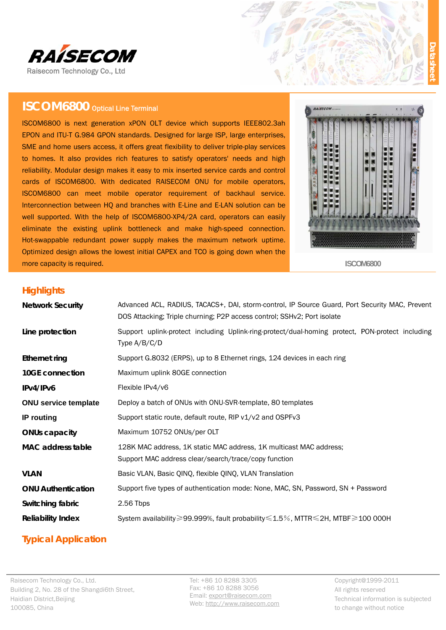

# **ISCOM6800** Optical Line Terminal

ISCOM6800 is next generation xPON OLT device which supports IEEE802.3ah EPON and ITU-T G.984 GPON standards. Designed for large ISP, large enterprises, SME and home users access, it offers great flexibility to deliver triple-play services to homes. It also provides rich features to satisfy operators' needs and high reliability. Modular design makes it easy to mix inserted service cards and control cards of ISCOM6800. With dedicated RAISECOM ONU for mobile operators, ISCOM6800 can meet mobile operator requirement of backhaul service. Interconnection between HQ and branches with E-Line and E-LAN solution can be well supported. With the help of ISCOM6800-XP4/2A card, operators can easily eliminate the existing uplink bottleneck and make high-speed connection. Hot-swappable redundant power supply makes the maximum network uptime. Optimized design allows the lowest initial CAPEX and TCO is going down when the more capacity is required.



**ISCOM6800** 

### **Highlights**

| <b>Network Security</b>     | Advanced ACL, RADIUS, TACACS+, DAI, storm-control, IP Source Guard, Port Security MAC, Prevent<br>DOS Attacking; Triple churning; P2P access control; SSHv2; Port isolate |  |  |  |  |
|-----------------------------|---------------------------------------------------------------------------------------------------------------------------------------------------------------------------|--|--|--|--|
| Line protection             | Support uplink-protect including Uplink-ring-protect/dual-homing protect, PON-protect including<br>Type $A/B/C/D$                                                         |  |  |  |  |
| <b>Ethernet ring</b>        | Support G.8032 (ERPS), up to 8 Ethernet rings, 124 devices in each ring                                                                                                   |  |  |  |  |
| 10GE connection             | Maximum uplink 80GE connection                                                                                                                                            |  |  |  |  |
| IPv4/IPv6                   | Flexible IPv4/v6                                                                                                                                                          |  |  |  |  |
| <b>ONU service template</b> | Deploy a batch of ONUs with ONU-SVR-template, 80 templates                                                                                                                |  |  |  |  |
| <b>IP</b> routing           | Support static route, default route, RIP v1/v2 and OSPFv3                                                                                                                 |  |  |  |  |
| <b>ONUs capacity</b>        | Maximum 10752 ONUs/per OLT                                                                                                                                                |  |  |  |  |
| <b>MAC</b> address table    | 128K MAC address, 1K static MAC address, 1K multicast MAC address;<br>Support MAC address clear/search/trace/copy function                                                |  |  |  |  |
| <b>VLAN</b>                 | Basic VLAN, Basic QINQ, flexible QINQ, VLAN Translation                                                                                                                   |  |  |  |  |
| <b>ONU Authentication</b>   | Support five types of authentication mode: None, MAC, SN, Password, SN + Password                                                                                         |  |  |  |  |
| Switching fabric            | 2.56 Tbps                                                                                                                                                                 |  |  |  |  |
| <b>Reliability Index</b>    | System availability≥99.999%, fault probability ≤1.5%, MTTR ≤2H, MTBF ≥100 000H                                                                                            |  |  |  |  |

## **Typical Application**

Tel: +86 10 8288 3305 Fax: +86 10 8288 3056 Email: export@raisecom.com Web: http://www.raisecom.com Copyright@1999-2011 All rights reserved Technical information is subjected to change without notice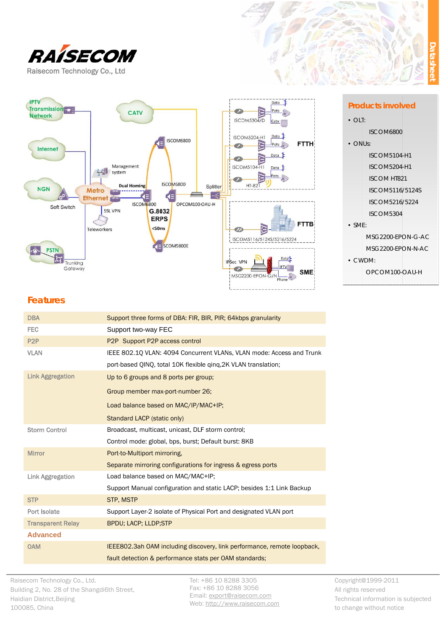



#### **Products involved**

- $\bullet$  OLT:
	- **ISCOM6800**
- $\bullet$  ONUs: **ISCOM5104-H1 ISCOM5204-H1 ISCOM HT821** ISCOM5116/5124S ISCOM5216/5224
	- ISCOM5304
- $\bullet$  SME:

MSG2200-EPON-G-AC MSG2200-EPON-N-AC

• CWDM:

OPCOM100-OAU-H

## **Features**

| <b>DBA</b>               | Support three forms of DBA: FIR, BIR, PIR; 64kbps granularity           |  |  |
|--------------------------|-------------------------------------------------------------------------|--|--|
| <b>FEC</b>               | Support two-way FEC                                                     |  |  |
| P <sub>2</sub> P         | P2P Support P2P access control                                          |  |  |
| <b>VLAN</b>              | IEEE 802.10 VLAN: 4094 Concurrent VLANs, VLAN mode: Access and Trunk    |  |  |
|                          | port-based QINQ, total 10K flexible ging, 2K VLAN translation;          |  |  |
| <b>Link Aggregation</b>  | Up to 6 groups and 8 ports per group;                                   |  |  |
|                          | Group member max-port-number 26;                                        |  |  |
|                          | Load balance based on MAC/IP/MAC+IP;                                    |  |  |
|                          | Standard LACP (static only)                                             |  |  |
| <b>Storm Control</b>     | Broadcast, multicast, unicast, DLF storm control;                       |  |  |
|                          | Control mode: global, bps, burst; Default burst: 8KB                    |  |  |
| <b>Mirror</b>            | Port-to-Multiport mirroring,                                            |  |  |
|                          | Separate mirroring configurations for ingress & egress ports            |  |  |
| <b>Link Aggregation</b>  | Load balance based on MAC/MAC+IP;                                       |  |  |
|                          | Support Manual configuration and static LACP; besides 1:1 Link Backup   |  |  |
| <b>STP</b>               | <b>STP, MSTP</b>                                                        |  |  |
| Port Isolate             | Support Layer-2 isolate of Physical Port and designated VLAN port       |  |  |
| <b>Transparent Relay</b> | BPDU; LACP; LLDP;STP                                                    |  |  |
| <b>Advanced</b>          |                                                                         |  |  |
| <b>OAM</b>               | IEEE802.3ah OAM including discovery, link performance, remote loopback, |  |  |
|                          | fault detection & performance stats per OAM standards;                  |  |  |

Tel: +86 10 8288 3305 Fax: +86 10 8288 3056 Email: export@raisecom.com Web: http://www.raisecom.com Copyright@1999-2011 All rights reserved Technical information is subjected to change without notice

 $\frac{1}{2}$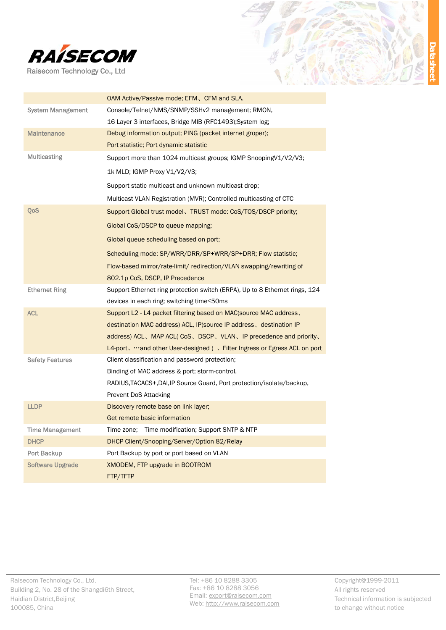



) <u>j</u>

|                          | OAM Active/Passive mode; EFM, CFM and SLA.                                  |  |  |  |
|--------------------------|-----------------------------------------------------------------------------|--|--|--|
| <b>System Management</b> | Console/Telnet/NMS/SNMP/SSHv2 management; RMON,                             |  |  |  |
|                          | 16 Layer 3 interfaces, Bridge MIB (RFC1493); System log;                    |  |  |  |
| <b>Maintenance</b>       | Debug information output; PING (packet internet groper);                    |  |  |  |
|                          | Port statistic; Port dynamic statistic                                      |  |  |  |
| <b>Multicasting</b>      | Support more than 1024 multicast groups; IGMP Snooping V1/V2/V3;            |  |  |  |
|                          | 1k MLD; IGMP Proxy V1/V2/V3;                                                |  |  |  |
|                          | Support static multicast and unknown multicast drop;                        |  |  |  |
|                          | Multicast VLAN Registration (MVR); Controlled multicasting of CTC           |  |  |  |
| QoS                      | Support Global trust model, TRUST mode: CoS/TOS/DSCP priority;              |  |  |  |
|                          | Global CoS/DSCP to queue mapping;                                           |  |  |  |
|                          | Global queue scheduling based on port;                                      |  |  |  |
|                          | Scheduling mode: SP/WRR/DRR/SP+WRR/SP+DRR; Flow statistic;                  |  |  |  |
|                          | Flow-based mirror/rate-limit/ redirection/VLAN swapping/rewriting of        |  |  |  |
|                          | 802.1p CoS, DSCP, IP Precedence                                             |  |  |  |
| <b>Ethernet Ring</b>     | Support Ethernet ring protection switch (ERPA), Up to 8 Ethernet rings, 124 |  |  |  |
|                          | devices in each ring; switching time≤50ms                                   |  |  |  |
| <b>ACL</b>               | Support L2 - L4 packet filtering based on MAC (source MAC address,          |  |  |  |
|                          | destination MAC address) ACL, IP(source IP address, destination IP          |  |  |  |
|                          | address) ACL, MAP ACL(CoS, DSCP, VLAN, IP precedence and priority,          |  |  |  |
|                          | L4-port, …and other User-designed), Filter Ingress or Egress ACL on port    |  |  |  |
| <b>Safety Features</b>   | Client classification and password protection;                              |  |  |  |
|                          | Binding of MAC address & port; storm-control,                               |  |  |  |
|                          | RADIUS, TACACS+, DAI, IP Source Guard, Port protection/isolate/backup,      |  |  |  |
|                          | Prevent DoS Attacking                                                       |  |  |  |
| <b>LLDP</b>              | Discovery remote base on link layer;                                        |  |  |  |
|                          | Get remote basic information                                                |  |  |  |
| <b>Time Management</b>   | Time zone; Time modification; Support SNTP & NTP                            |  |  |  |
| <b>DHCP</b>              | DHCP Client/Snooping/Server/Option 82/Relay                                 |  |  |  |
| Port Backup              | Port Backup by port or port based on VLAN                                   |  |  |  |
| <b>Software Upgrade</b>  | XMODEM, FTP upgrade in BOOTROM                                              |  |  |  |
|                          | FTP/TFTP                                                                    |  |  |  |

Tel: +86 10 8288 3305 Fax: +86 10 8288 3056 Email: export@raisecom.com Web: http://www.raisecom.com Copyright@1999-2011 All rights reserved Technical information is subjected to change without notice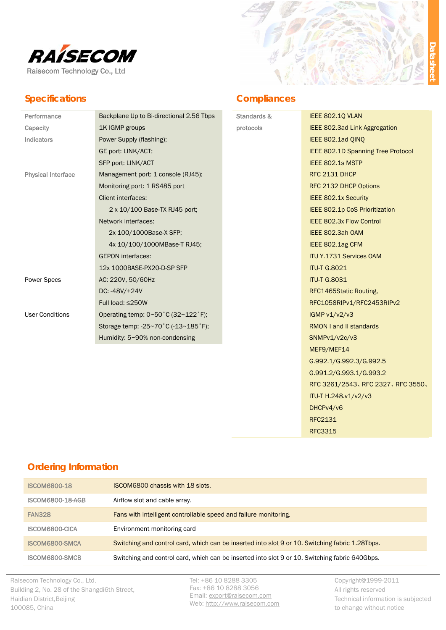

## **Specifications**



### **Compliances**

| Standards & | IEEE 802.10 VLAN                   |  |  |
|-------------|------------------------------------|--|--|
| protocols   | IEEE 802.3ad Link Aggregation      |  |  |
|             | IEEE 802.1ad QINQ                  |  |  |
|             | IEEE 802.1D Spanning Tree Protocol |  |  |
|             | IEEE 802.1s MSTP                   |  |  |
|             | RFC 2131 DHCP                      |  |  |
|             | RFC 2132 DHCP Options              |  |  |
|             | <b>IEEE 802.1x Security</b>        |  |  |
|             | IEEE 802.1p CoS Prioritization     |  |  |
|             | <b>IEEE 802.3x Flow Control</b>    |  |  |
|             | IEEE 802.3ah OAM                   |  |  |
|             | IEEE 802.1ag CFM                   |  |  |
|             | <b>ITU Y.1731 Services OAM</b>     |  |  |
|             | <b>ITU-T G.8021</b>                |  |  |
|             | <b>ITU-T G.8031</b>                |  |  |
|             | RFC1465Static Routing,             |  |  |
|             | RFC1058RIPv1/RFC2453RIPv2          |  |  |
|             | IGMP v1/v2/v3                      |  |  |
|             | <b>RMON I and II standards</b>     |  |  |
|             | SNMPv1/v2c/v3                      |  |  |
|             | MEF9/MEF14                         |  |  |
|             | G.992.1/G.992.3/G.992.5            |  |  |
|             | G.991.2/G.993.1/G.993.2            |  |  |
|             | RFC 3261/2543、RFC 2327、RFC 3550、   |  |  |
|             | ITU-T H.248.v1/v2/v3               |  |  |
|             | DHCPv4/v6                          |  |  |
|             | RFC2131                            |  |  |
|             | <b>RFC3315</b>                     |  |  |

## **Ordering Information**

| <b>ISCOM6800-18</b>     | ISCOM6800 chassis with 18 slots.                                                                |
|-------------------------|-------------------------------------------------------------------------------------------------|
| <b>ISCOM6800-18-AGB</b> | Airflow slot and cable array.                                                                   |
| <b>FAN328</b>           | Fans with intelligent controllable speed and failure monitoring.                                |
| ISCOM6800-CICA          | Environment monitoring card                                                                     |
| ISCOM6800-SMCA          | Switching and control card, which can be inserted into slot 9 or 10. Switching fabric 1.28Tbps. |
| ISCOM6800-SMCB          | Switching and control card, which can be inserted into slot 9 or 10. Switching fabric 640Gbps.  |

Raisecom Technology Co., Ltd. Building 2, No. 28 of the Shangdi6th Street, Haidian District, Beijing 100085, China

Tel: +86 10 8288 3305 Fax: +86 10 8288 3056 Email: export@raisecom.com Web: http://www.raisecom.com Copyright@1999-2011 All rights reserved Technical information is subjected to change without notice